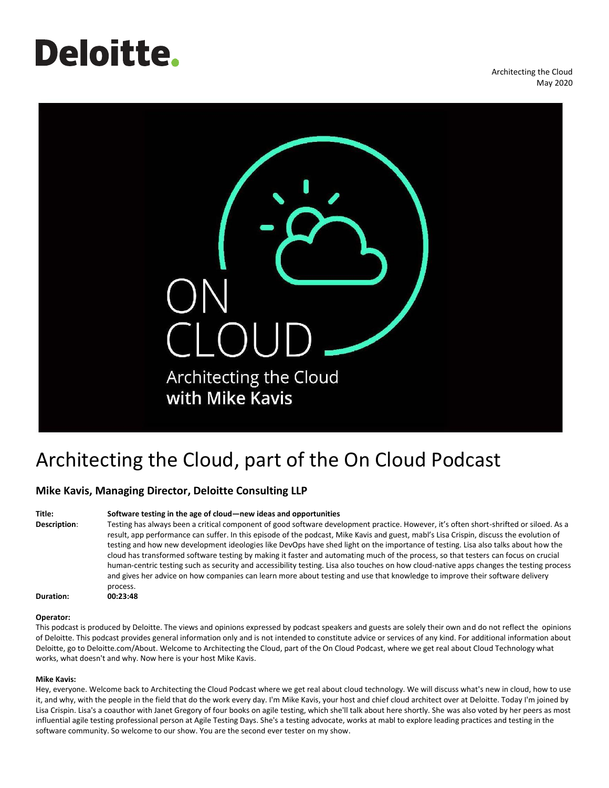# **Deloitte**.

Architecting the Cloud May 2020



# Architecting the Cloud, part of the On Cloud Podcast

## **Mike Kavis, Managing Director, Deloitte Consulting LLP**

### **Title: Software testing in the age of cloud—new ideas and opportunities**

**Description**: Testing has always been a critical component of good software development practice. However, it's often short-shrifted or siloed. As a result, app performance can suffer. In this episode of the podcast, Mike Kavis and guest, mabl's Lisa Crispin, discuss the evolution of testing and how new development ideologies like DevOps have shed light on the importance of testing. Lisa also talks about how the cloud has transformed software testing by making it faster and automating much of the process, so that testers can focus on crucial human-centric testing such as security and accessibility testing. Lisa also touches on how cloud-native apps changes the testing process and gives her advice on how companies can learn more about testing and use that knowledge to improve their software delivery process.

**Duration: 00:23:48**

#### **Operator:**

This podcast is produced by Deloitte. The views and opinions expressed by podcast speakers and guests are solely their own and do not reflect the opinions of Deloitte. This podcast provides general information only and is not intended to constitute advice or services of any kind. For additional information about Deloitte, go to Deloitte.com/About. Welcome to Architecting the Cloud, part of the On Cloud Podcast, where we get real about Cloud Technology what works, what doesn't and why. Now here is your host Mike Kavis.

#### **Mike Kavis:**

Hey, everyone. Welcome back to Architecting the Cloud Podcast where we get real about cloud technology. We will discuss what's new in cloud, how to use it, and why, with the people in the field that do the work every day. I'm Mike Kavis, your host and chief cloud architect over at Deloitte. Today I'm joined by Lisa Crispin. Lisa's a coauthor with Janet Gregory of four books on agile testing, which she'll talk about here shortly. She was also voted by her peers as most influential agile testing professional person at Agile Testing Days. She's a testing advocate, works at mabl to explore leading practices and testing in the software community. So welcome to our show. You are the second ever tester on my show.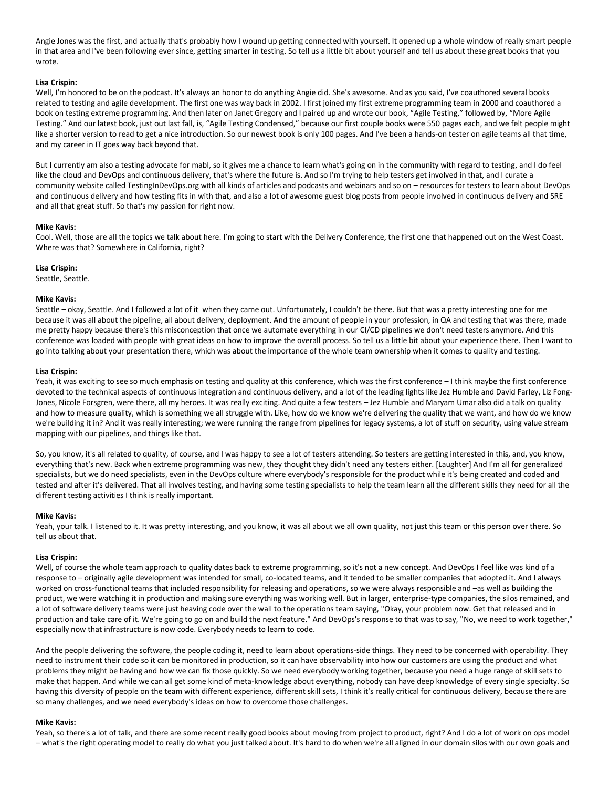Angie Jones was the first, and actually that's probably how I wound up getting connected with yourself. It opened up a whole window of really smart people in that area and I've been following ever since, getting smarter in testing. So tell us a little bit about yourself and tell us about these great books that you wrote.

#### **Lisa Crispin:**

Well, I'm honored to be on the podcast. It's always an honor to do anything Angie did. She's awesome. And as you said, I've coauthored several books related to testing and agile development. The first one was way back in 2002. I first joined my first extreme programming team in 2000 and coauthored a book on testing extreme programming. And then later on Janet Gregory and I paired up and wrote our book, "Agile Testing," followed by, "More Agile Testing." And our latest book, just out last fall, is, "Agile Testing Condensed," because our first couple books were 550 pages each, and we felt people might like a shorter version to read to get a nice introduction. So our newest book is only 100 pages. And I've been a hands-on tester on agile teams all that time, and my career in IT goes way back beyond that.

But I currently am also a testing advocate for mabl, so it gives me a chance to learn what's going on in the community with regard to testing, and I do feel like the cloud and DevOps and continuous delivery, that's where the future is. And so I'm trying to help testers get involved in that, and I curate a community website called TestingInDevOps.org with all kinds of articles and podcasts and webinars and so on – resources for testers to learn about DevOps and continuous delivery and how testing fits in with that, and also a lot of awesome guest blog posts from people involved in continuous delivery and SRE and all that great stuff. So that's my passion for right now.

#### **Mike Kavis:**

Cool. Well, those are all the topics we talk about here. I'm going to start with the Delivery Conference, the first one that happened out on the West Coast. Where was that? Somewhere in California, right?

#### **Lisa Crispin:**

Seattle, Seattle.

#### **Mike Kavis:**

Seattle – okay, Seattle. And I followed a lot of it when they came out. Unfortunately, I couldn't be there. But that was a pretty interesting one for me because it was all about the pipeline, all about delivery, deployment. And the amount of people in your profession, in QA and testing that was there, made me pretty happy because there's this misconception that once we automate everything in our CI/CD pipelines we don't need testers anymore. And this conference was loaded with people with great ideas on how to improve the overall process. So tell us a little bit about your experience there. Then I want to go into talking about your presentation there, which was about the importance of the whole team ownership when it comes to quality and testing.

#### **Lisa Crispin:**

Yeah, it was exciting to see so much emphasis on testing and quality at this conference, which was the first conference - I think maybe the first conference devoted to the technical aspects of continuous integration and continuous delivery, and a lot of the leading lights like Jez Humble and David Farley, Liz Fong-Jones, Nicole Forsgren, were there, all my heroes. It was really exciting. And quite a few testers – Jez Humble and Maryam Umar also did a talk on quality and how to measure quality, which is something we all struggle with. Like, how do we know we're delivering the quality that we want, and how do we know we're building it in? And it was really interesting; we were running the range from pipelines for legacy systems, a lot of stuff on security, using value stream mapping with our pipelines, and things like that.

So, you know, it's all related to quality, of course, and I was happy to see a lot of testers attending. So testers are getting interested in this, and, you know, everything that's new. Back when extreme programming was new, they thought they didn't need any testers either. [Laughter] And I'm all for generalized specialists, but we do need specialists, even in the DevOps culture where everybody's responsible for the product while it's being created and coded and tested and after it's delivered. That all involves testing, and having some testing specialists to help the team learn all the different skills they need for all the different testing activities I think is really important.

#### **Mike Kavis:**

Yeah, your talk. I listened to it. It was pretty interesting, and you know, it was all about we all own quality, not just this team or this person over there. So tell us about that.

#### **Lisa Crispin:**

Well, of course the whole team approach to quality dates back to extreme programming, so it's not a new concept. And DevOps I feel like was kind of a response to – originally agile development was intended for small, co-located teams, and it tended to be smaller companies that adopted it. And I always worked on cross-functional teams that included responsibility for releasing and operations, so we were always responsible and –as well as building the product, we were watching it in production and making sure everything was working well. But in larger, enterprise-type companies, the silos remained, and a lot of software delivery teams were just heaving code over the wall to the operations team saying, "Okay, your problem now. Get that released and in production and take care of it. We're going to go on and build the next feature." And DevOps's response to that was to say, "No, we need to work together," especially now that infrastructure is now code. Everybody needs to learn to code.

And the people delivering the software, the people coding it, need to learn about operations-side things. They need to be concerned with operability. They need to instrument their code so it can be monitored in production, so it can have observability into how our customers are using the product and what problems they might be having and how we can fix those quickly. So we need everybody working together, because you need a huge range of skill sets to make that happen. And while we can all get some kind of meta-knowledge about everything, nobody can have deep knowledge of every single specialty. So having this diversity of people on the team with different experience, different skill sets, I think it's really critical for continuous delivery, because there are so many challenges, and we need everybody's ideas on how to overcome those challenges.

#### **Mike Kavis:**

Yeah, so there's a lot of talk, and there are some recent really good books about moving from project to product, right? And I do a lot of work on ops model – what's the right operating model to really do what you just talked about. It's hard to do when we're all aligned in our domain silos with our own goals and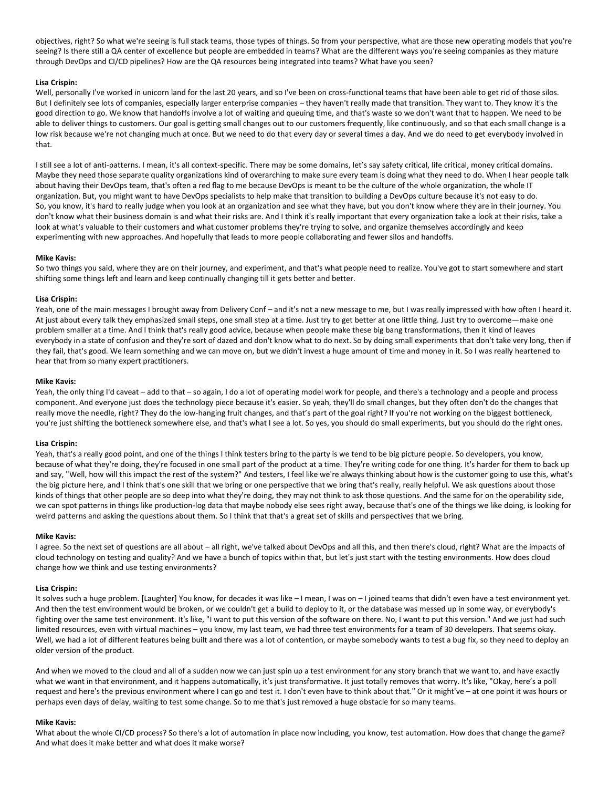objectives, right? So what we're seeing is full stack teams, those types of things. So from your perspective, what are those new operating models that you're seeing? Is there still a QA center of excellence but people are embedded in teams? What are the different ways you're seeing companies as they mature through DevOps and CI/CD pipelines? How are the QA resources being integrated into teams? What have you seen?

#### **Lisa Crispin:**

Well, personally I've worked in unicorn land for the last 20 years, and so I've been on cross-functional teams that have been able to get rid of those silos. But I definitely see lots of companies, especially larger enterprise companies – they haven't really made that transition. They want to. They know it's the good direction to go. We know that handoffs involve a lot of waiting and queuing time, and that's waste so we don't want that to happen. We need to be able to deliver things to customers. Our goal is getting small changes out to our customers frequently, like continuously, and so that each small change is a low risk because we're not changing much at once. But we need to do that every day or several times a day. And we do need to get everybody involved in that.

I still see a lot of anti-patterns. I mean, it's all context-specific. There may be some domains, let's say safety critical, life critical, money critical domains. Maybe they need those separate quality organizations kind of overarching to make sure every team is doing what they need to do. When I hear people talk about having their DevOps team, that's often a red flag to me because DevOps is meant to be the culture of the whole organization, the whole IT organization. But, you might want to have DevOps specialists to help make that transition to building a DevOps culture because it's not easy to do. So, you know, it's hard to really judge when you look at an organization and see what they have, but you don't know where they are in their journey. You don't know what their business domain is and what their risks are. And I think it's really important that every organization take a look at their risks, take a look at what's valuable to their customers and what customer problems they're trying to solve, and organize themselves accordingly and keep experimenting with new approaches. And hopefully that leads to more people collaborating and fewer silos and handoffs.

#### **Mike Kavis:**

So two things you said, where they are on their journey, and experiment, and that's what people need to realize. You've got to start somewhere and start shifting some things left and learn and keep continually changing till it gets better and better.

#### **Lisa Crispin:**

Yeah, one of the main messages I brought away from Delivery Conf – and it's not a new message to me, but I was really impressed with how often I heard it. At just about every talk they emphasized small steps, one small step at a time. Just try to get better at one little thing. Just try to overcome—make one problem smaller at a time. And I think that's really good advice, because when people make these big bang transformations, then it kind of leaves everybody in a state of confusion and they're sort of dazed and don't know what to do next. So by doing small experiments that don't take very long, then if they fail, that's good. We learn something and we can move on, but we didn't invest a huge amount of time and money in it. So I was really heartened to hear that from so many expert practitioners.

#### **Mike Kavis:**

Yeah, the only thing I'd caveat – add to that – so again, I do a lot of operating model work for people, and there's a technology and a people and process component. And everyone just does the technology piece because it's easier. So yeah, they'll do small changes, but they often don't do the changes that really move the needle, right? They do the low-hanging fruit changes, and that's part of the goal right? If you're not working on the biggest bottleneck, you're just shifting the bottleneck somewhere else, and that's what I see a lot. So yes, you should do small experiments, but you should do the right ones.

#### **Lisa Crispin:**

Yeah, that's a really good point, and one of the things I think testers bring to the party is we tend to be big picture people. So developers, you know, because of what they're doing, they're focused in one small part of the product at a time. They're writing code for one thing. It's harder for them to back up and say, "Well, how will this impact the rest of the system?" And testers, I feel like we're always thinking about how is the customer going to use this, what's the big picture here, and I think that's one skill that we bring or one perspective that we bring that's really, really helpful. We ask questions about those kinds of things that other people are so deep into what they're doing, they may not think to ask those questions. And the same for on the operability side, we can spot patterns in things like production-log data that maybe nobody else sees right away, because that's one of the things we like doing, is looking for weird patterns and asking the questions about them. So I think that that's a great set of skills and perspectives that we bring.

#### **Mike Kavis:**

I agree. So the next set of questions are all about – all right, we've talked about DevOps and all this, and then there's cloud, right? What are the impacts of cloud technology on testing and quality? And we have a bunch of topics within that, but let's just start with the testing environments. How does cloud change how we think and use testing environments?

#### **Lisa Crispin:**

It solves such a huge problem. [Laughter] You know, for decades it was like – I mean, I was on – I joined teams that didn't even have a test environment yet. And then the test environment would be broken, or we couldn't get a build to deploy to it, or the database was messed up in some way, or everybody's fighting over the same test environment. It's like, "I want to put this version of the software on there. No, I want to put this version." And we just had such limited resources, even with virtual machines – you know, my last team, we had three test environments for a team of 30 developers. That seems okay. Well, we had a lot of different features being built and there was a lot of contention, or maybe somebody wants to test a bug fix, so they need to deploy an older version of the product.

And when we moved to the cloud and all of a sudden now we can just spin up a test environment for any story branch that we want to, and have exactly what we want in that environment, and it happens automatically, it's just transformative. It just totally removes that worry. It's like, "Okay, here's a poll request and here's the previous environment where I can go and test it. I don't even have to think about that." Or it might've – at one point it was hours or perhaps even days of delay, waiting to test some change. So to me that's just removed a huge obstacle for so many teams.

#### **Mike Kavis:**

What about the whole CI/CD process? So there's a lot of automation in place now including, you know, test automation. How does that change the game? And what does it make better and what does it make worse?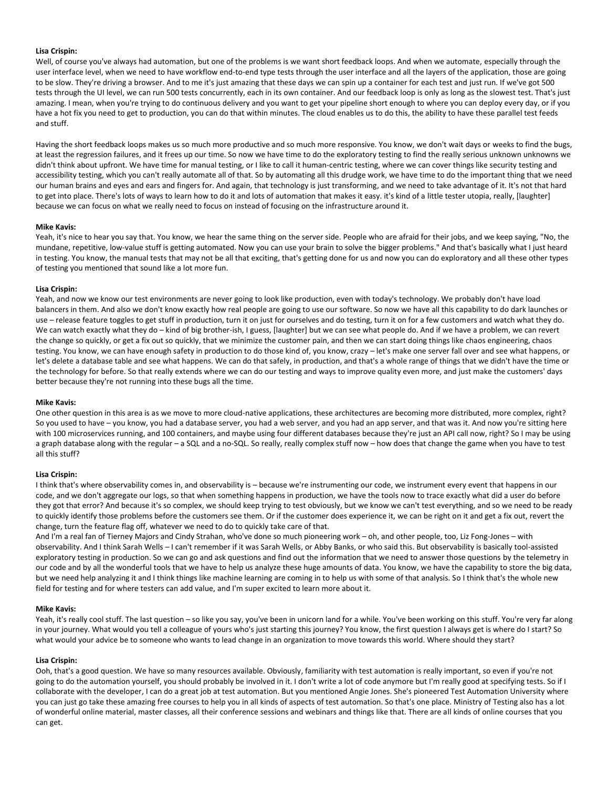#### **Lisa Crispin:**

Well, of course you've always had automation, but one of the problems is we want short feedback loops. And when we automate, especially through the user interface level, when we need to have workflow end-to-end type tests through the user interface and all the layers of the application, those are going to be slow. They're driving a browser. And to me it's just amazing that these days we can spin up a container for each test and just run. If we've got 500 tests through the UI level, we can run 500 tests concurrently, each in its own container. And our feedback loop is only as long as the slowest test. That's just amazing. I mean, when you're trying to do continuous delivery and you want to get your pipeline short enough to where you can deploy every day, or if you have a hot fix you need to get to production, you can do that within minutes. The cloud enables us to do this, the ability to have these parallel test feeds and stuff.

Having the short feedback loops makes us so much more productive and so much more responsive. You know, we don't wait days or weeks to find the bugs, at least the regression failures, and it frees up our time. So now we have time to do the exploratory testing to find the really serious unknown unknowns we didn't think about upfront. We have time for manual testing, or I like to call it human-centric testing, where we can cover things like security testing and accessibility testing, which you can't really automate all of that. So by automating all this drudge work, we have time to do the important thing that we need our human brains and eyes and ears and fingers for. And again, that technology is just transforming, and we need to take advantage of it. It's not that hard to get into place. There's lots of ways to learn how to do it and lots of automation that makes it easy. it's kind of a little tester utopia, really, [laughter] because we can focus on what we really need to focus on instead of focusing on the infrastructure around it.

#### **Mike Kavis:**

Yeah, it's nice to hear you say that. You know, we hear the same thing on the server side. People who are afraid for their jobs, and we keep saying, "No, the mundane, repetitive, low-value stuff is getting automated. Now you can use your brain to solve the bigger problems." And that's basically what I just heard in testing. You know, the manual tests that may not be all that exciting, that's getting done for us and now you can do exploratory and all these other types of testing you mentioned that sound like a lot more fun.

#### **Lisa Crispin:**

Yeah, and now we know our test environments are never going to look like production, even with today's technology. We probably don't have load balancers in them. And also we don't know exactly how real people are going to use our software. So now we have all this capability to do dark launches or use – release feature toggles to get stuff in production, turn it on just for ourselves and do testing, turn it on for a few customers and watch what they do. We can watch exactly what they do – kind of big brother-ish, I guess, [laughter] but we can see what people do. And if we have a problem, we can revert the change so quickly, or get a fix out so quickly, that we minimize the customer pain, and then we can start doing things like chaos engineering, chaos testing. You know, we can have enough safety in production to do those kind of, you know, crazy – let's make one server fall over and see what happens, or let's delete a database table and see what happens. We can do that safely, in production, and that's a whole range of things that we didn't have the time or the technology for before. So that really extends where we can do our testing and ways to improve quality even more, and just make the customers' days better because they're not running into these bugs all the time.

#### **Mike Kavis:**

One other question in this area is as we move to more cloud-native applications, these architectures are becoming more distributed, more complex, right? So you used to have – you know, you had a database server, you had a web server, and you had an app server, and that was it. And now you're sitting here with 100 microservices running, and 100 containers, and maybe using four different databases because they're just an API call now, right? So I may be using a graph database along with the regular – a SQL and a no-SQL. So really, really complex stuff now – how does that change the game when you have to test all this stuff?

#### **Lisa Crispin:**

I think that's where observability comes in, and observability is – because we're instrumenting our code, we instrument every event that happens in our code, and we don't aggregate our logs, so that when something happens in production, we have the tools now to trace exactly what did a user do before they got that error? And because it's so complex, we should keep trying to test obviously, but we know we can't test everything, and so we need to be ready to quickly identify those problems before the customers see them. Or if the customer does experience it, we can be right on it and get a fix out, revert the change, turn the feature flag off, whatever we need to do to quickly take care of that.

And I'm a real fan of Tierney Majors and Cindy Strahan, who've done so much pioneering work – oh, and other people, too, Liz Fong-Jones – with observability. And I think Sarah Wells – I can't remember if it was Sarah Wells, or Abby Banks, or who said this. But observability is basically tool-assisted exploratory testing in production. So we can go and ask questions and find out the information that we need to answer those questions by the telemetry in our code and by all the wonderful tools that we have to help us analyze these huge amounts of data. You know, we have the capability to store the big data, but we need help analyzing it and I think things like machine learning are coming in to help us with some of that analysis. So I think that's the whole new field for testing and for where testers can add value, and I'm super excited to learn more about it.

#### **Mike Kavis:**

Yeah, it's really cool stuff. The last question - so like you say, you've been in unicorn land for a while. You've been working on this stuff. You're very far along in your journey. What would you tell a colleague of yours who's just starting this journey? You know, the first question I always get is where do I start? So what would your advice be to someone who wants to lead change in an organization to move towards this world. Where should they start?

#### **Lisa Crispin:**

Ooh, that's a good question. We have so many resources available. Obviously, familiarity with test automation is really important, so even if you're not going to do the automation yourself, you should probably be involved in it. I don't write a lot of code anymore but I'm really good at specifying tests. So if I collaborate with the developer, I can do a great job at test automation. But you mentioned Angie Jones. She's pioneered Test Automation University where you can just go take these amazing free courses to help you in all kinds of aspects of test automation. So that's one place. Ministry of Testing also has a lot of wonderful online material, master classes, all their conference sessions and webinars and things like that. There are all kinds of online courses that you can get.